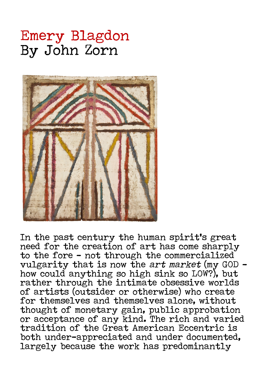## Emery Blagdon By John Zorn



In the past century the human spirit's great need for the creation of art has come sharply to the fore – not through the commercialized<br>vulgarity that is now the *art market* (my GOD – how could anything so high sink so LOW?), but rather through the intimate obsessive worlds of artists (outsider or otherwise) who create for themselves and themselves alone, without thought of monetary gain, public approbation or acceptance of any kind. The rich and varied tradition of the Great American Eccentric is both under-appreciated and under documented, largely because the work has predominantly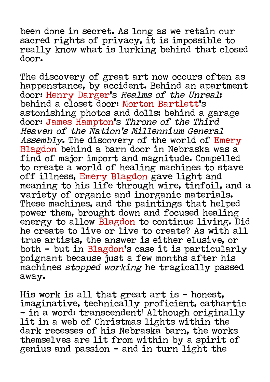been done in secret. As long as we retain our sacred rights of privacy, it is impossible to really know what is lurking behind that closed door.

The discovery of great art now occurs often as happenstance, by accident. Behind an apartment door: Henry Darger's Realms of the Unreal; behind a closet door: Morton Bartlett's astonishing photos and dolls; behind a garage door: James Hampton's Throne of the Third Heaven of the Nation's Millennium General Assembly. The discovery of the world of Emery Blagdon behind a barn door in Nebraska was a find of major import and magnitude. Compelled to create a world of healing machines to stave off illness, Emery Blagdon gave light and meaning to his life through wire, tinfoil, and a variety of organic and inorganic materials. These machines, and the paintings that helped power them, brought down and focused healing energy to allow Blagdon to continue living. Did he create to live or live to create? As with all true artists, the answer is either elusive, or both - but in Blagdon's case it is particularly poignant because just a few months after his machines stopped working he tragically passed away.

His work is all that great art is - honest, imaginative, technically proficient, cathartic - in a word: transcendent! Although originally lit in a web of Christmas lights within the dark recesses of his Nebraska barn, the works themselves are lit from within by a spirit of genius and passion - and in turn light the